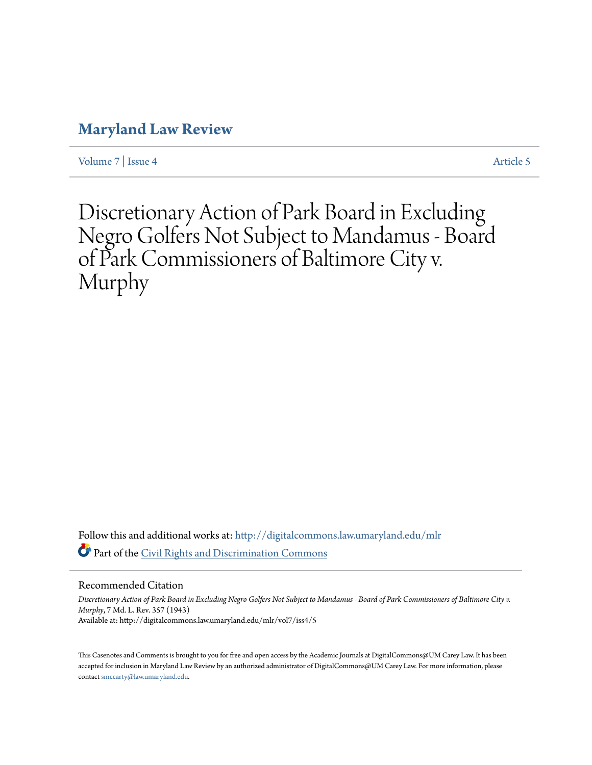## **[Maryland Law Review](http://digitalcommons.law.umaryland.edu/mlr?utm_source=digitalcommons.law.umaryland.edu%2Fmlr%2Fvol7%2Fiss4%2F5&utm_medium=PDF&utm_campaign=PDFCoverPages)**

[Volume 7](http://digitalcommons.law.umaryland.edu/mlr/vol7?utm_source=digitalcommons.law.umaryland.edu%2Fmlr%2Fvol7%2Fiss4%2F5&utm_medium=PDF&utm_campaign=PDFCoverPages) | [Issue 4](http://digitalcommons.law.umaryland.edu/mlr/vol7/iss4?utm_source=digitalcommons.law.umaryland.edu%2Fmlr%2Fvol7%2Fiss4%2F5&utm_medium=PDF&utm_campaign=PDFCoverPages) [Article 5](http://digitalcommons.law.umaryland.edu/mlr/vol7/iss4/5?utm_source=digitalcommons.law.umaryland.edu%2Fmlr%2Fvol7%2Fiss4%2F5&utm_medium=PDF&utm_campaign=PDFCoverPages)

Discretionary Action of Park Board in Excluding Negro Golfers Not Subject to Mandamus - Board of Park Commissioners of Baltimore City v. Murphy

Follow this and additional works at: [http://digitalcommons.law.umaryland.edu/mlr](http://digitalcommons.law.umaryland.edu/mlr?utm_source=digitalcommons.law.umaryland.edu%2Fmlr%2Fvol7%2Fiss4%2F5&utm_medium=PDF&utm_campaign=PDFCoverPages) Part of the [Civil Rights and Discrimination Commons](http://network.bepress.com/hgg/discipline/585?utm_source=digitalcommons.law.umaryland.edu%2Fmlr%2Fvol7%2Fiss4%2F5&utm_medium=PDF&utm_campaign=PDFCoverPages)

Recommended Citation

*Discretionary Action of Park Board in Excluding Negro Golfers Not Subject to Mandamus - Board of Park Commissioners of Baltimore City v. Murphy*, 7 Md. L. Rev. 357 (1943) Available at: http://digitalcommons.law.umaryland.edu/mlr/vol7/iss4/5

This Casenotes and Comments is brought to you for free and open access by the Academic Journals at DigitalCommons@UM Carey Law. It has been accepted for inclusion in Maryland Law Review by an authorized administrator of DigitalCommons@UM Carey Law. For more information, please contact [smccarty@law.umaryland.edu.](mailto:smccarty@law.umaryland.edu)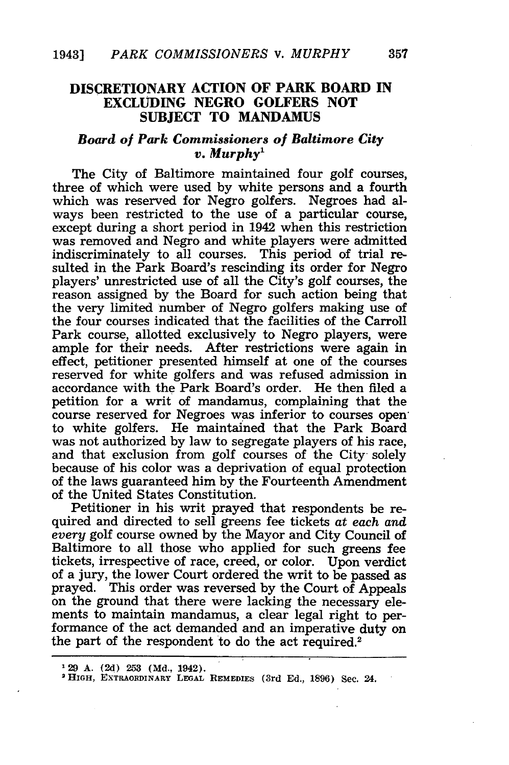## **DISCRETIONARY ACTION OF PARK BOARD IN EXCLUDING NEGRO GOLFERS NOT SUBJECT TO MANDAMUS**

## *Board of Park Commissioners of Baltimore City v. Murphy'*

The City of Baltimore maintained four golf courses, three of which were used by white persons and a fourth which was reserved for Negro golfers. Negroes had always been restricted to the use of a particular course, except during a short period in 1942 when this restriction was removed and Negro and white players were admitted indiscriminately to all courses. This period of trial resulted in the Park Board's rescinding its order for Negro players' unrestricted use of all the City's golf courses, the reason assigned by the Board for such action being that the very limited number of Negro golfers making use of the four courses indicated that the facilities of the Carroll Park course, allotted exclusively to Negro players, were ample for their needs. After restrictions were again in effect, petitioner presented himself at one of the courses reserved for white golfers and was refused admission in accordance with the Park Board's order. He then filed a petition for a writ of mandamus, complaining that the course reserved for Negroes was inferior to courses opento white golfers. He maintained that the Park Board was not authorized by law to segregate players of his race, and that exclusion from golf courses of the City- solely because of his color was a deprivation of equal protection of the laws guaranteed him by the Fourteenth Amendment of the United States Constitution.

Petitioner in his writ prayed that respondents be required and directed to sell greens fee tickets at *each and every* golf course owned by the Mayor and City Council of Baltimore to all those who applied for such greens fee tickets, irrespective of race, creed, or color. Upon verdict of a jury, the lower Court ordered the writ to be passed as prayed. This order was reversed by the Court of Appeals on the ground that there were lacking the necessary elements to maintain mandamus, a clear legal right to performance of the act demanded and an imperative duty on the part of the respondent to do the act required.<sup>2</sup>

**<sup>&#</sup>x27;29 A. (2d) 253 (Md., 1942). <sup>2</sup> HIGH, EXTRAORDINARY LEUGAL** REMEDIES **(3rd Ed., 1896) Sec.** *21.*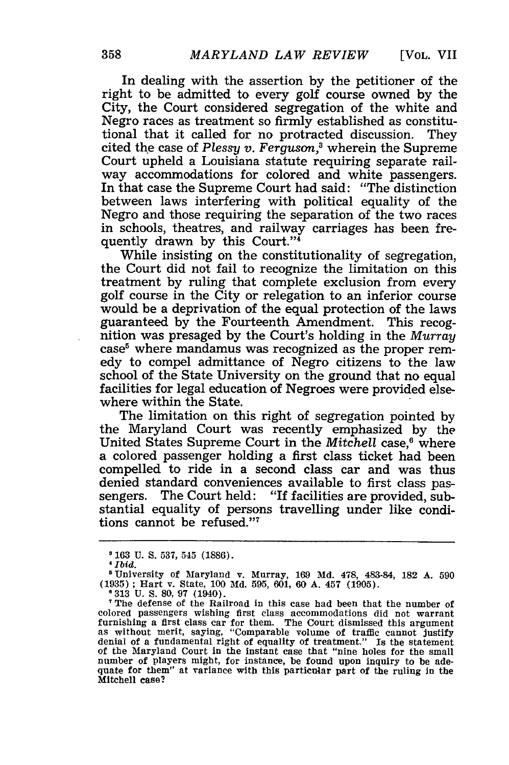In dealing with the assertion by the petitioner of the right to be admitted to every golf course owned by the City, the Court considered segregation of the white and Negro races as treatment so firmly established as constitutional that it called for no protracted discussion. They cited the case of *Plessy* v. *Ferguson,3* wherein the Supreme Court upheld a Louisiana statute requiring separate railway accommodations for colored and white passengers. In that case the Supreme Court had said: "The distinction between laws interfering with political equality of the Negro and those requiring the separation of the two races in schools, theatres, and railway carriages has been frequently drawn by this Court."4

While insisting on the constitutionality of segregation, the Court did not fail to recognize the limitation on this treatment by ruling that complete exclusion from every golf course in the City or relegation to an inferior course would be a deprivation of the equal protection of the laws guaranteed by the Fourteenth Amendment. This recognition was presaged by the Court's holding in the *Murray* case<sup>5</sup> where mandamus was recognized as the proper remedy to compel admittance of Negro citizens to the law school of the State University on the ground that no equal facilities for legal education of Negroes were provided elsewhere within the State.

The limitation on this right of segregation pointed by the Maryland Court was recently emphasized by the United States Supreme Court in the *Mitchell* case,<sup>6</sup> where a colored passenger holding a first class ticket had been compelled to ride in a second class car and was thus denied standard conveniences available to first class passengers. The Court held: "If facilities are provided, substantial equality of persons travelling under like conditions cannot be refused."7

**<sup>163</sup> U. S. 537,** 545 **(1886).**

*<sup>&#</sup>x27;Ibid.*

University of Maryland v. Murray, 169 **Md.** 478, 483-84, **182** A. **590** (1935) ; Hart v. State, 100 **Md.** 595, 601, **60** A. 457 (1905).

**<sup>°</sup>**313 U. S. 80, 97 (1940).<br>The defense of the Railroad in this case had been that the number of colored passengers wishing first class accommodations did not warrant furnishing a first class car for them. The Court dismissed this argument as without merit, saying, "Comparable volume of traffic cannot justify denial of a fundamental right of equality of treatment." Is the statement<br>of the Maryland Court in the instant case that "nine holes for the small<br>number of players might, for instance, be found upon inquiry to be adequate for them" at variance with this particular part of the ruling in the Mitchell case?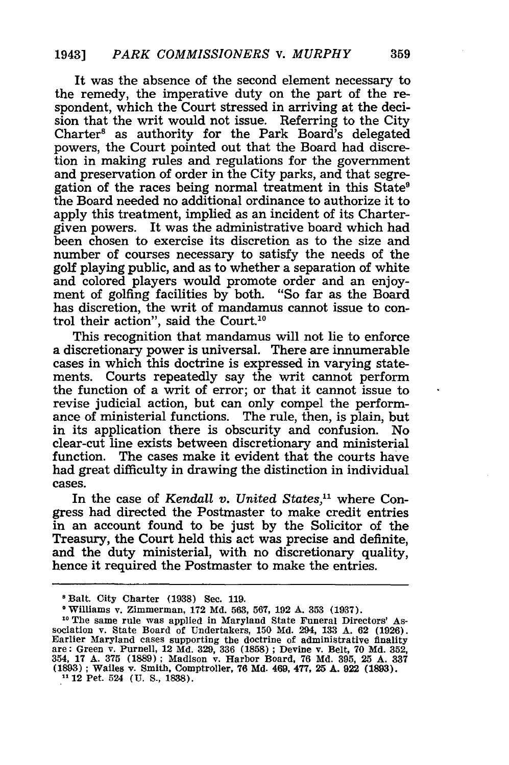It was the absence of the second element necessary to the remedy, the imperative duty on the part of the respondent, which the Court stressed in arriving at the decision that the writ would not issue. Referring to the City Charter<sup>8</sup> as authority for the Park Board's delegated powers, the Court pointed out that the Board had discretion in making rules and regulations for the government and preservation of order in the City parks, and that segregation of the races being normal treatment in this State<sup>9</sup> the Board needed no additional ordinance to authorize it to apply this treatment, implied as an incident of its Chartergiven powers. It was the administrative board which had been chosen to exercise its discretion as to the size and number of courses necessary to satisfy the needs of the golf playing public, and as to whether a separation of white and colored players would promote order and an enjoyment of golfing facilities by both. "So far as the Board has discretion, the writ of mandamus cannot issue to control their action", said the Court.10

This recognition that mandamus will not lie to enforce a discretionary power is universal. There are innumerable cases in which this doctrine is expressed in varying statements. Courts repeatedly say the writ cannot perform the function of a writ of error; or that it cannot issue to revise judicial action, but can only compel the performance of ministerial functions. The rule, then, is plain, but in its application there is obscurity and confusion. No clear-cut line exists between discretionary and ministerial function. The cases make it evident that the courts have had great difficulty in drawing the distinction in individual cases.

In the case of *Kendall v. United States,"* where Congress had directed the Postmaster to make credit entries in an account found to be just by the Solicitor of the Treasury, the Court held this act was precise and definite, and the duty ministerial, with no discretionary quality, hence it required the Postmaster to make the entries.

<sup>8</sup>Balt. City Charter (1938) Sec. 119.

**<sup>9</sup>** Williams v. Zimmerman, 172 Md. 563, **567,** 192 A. 353 (1937).

**<sup>10</sup>** The same rule was applied in Maryland State Funeral Directors' Association v. State Board of Undertakers, 150 Md. 294, **133** A. 62 (1926). Earlier Maryland cases supporting the doctrine of administrative finality are: Green v. Purnell, 12 Md. 329, 336 **(1858)** ; Devine v. Belt, **70** Md. 352, 354, **17 A. 375 (1889) ;** Madison v. Harbor Board, **76 Md. 395, 25 A. 337** (1893) ; Wailes v. Smith, Comptroller, **76** Md. 469, 477, **25 A. 922 (1893). <sup>11</sup>**12 Pet. 524 **(U. S.,** 1838).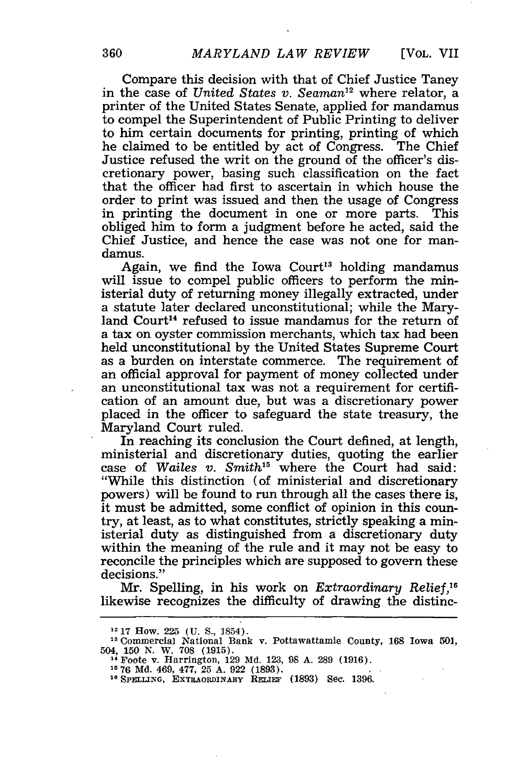Compare this decision with that of Chief Justice Taney in the case of *United States v. Seaman*<sup>12</sup> where relator, a printer of the United States Senate, applied for mandamus to compel the Superintendent of Public Printing to deliver to him certain documents for printing, printing of which he claimed to be entitled by act of Congress. The Chief Justice refused the writ on the ground of the officer's discretionary power, basing such classification on the fact that the officer had first to ascertain in which house the order to print was issued and then the usage of Congress in printing the document in one or more parts. This obliged him to form a judgment before he acted, said the Chief Justice, and hence the case was not one for mandamus.

Again, we find the Iowa Court<sup>13</sup> holding mandamus will issue to compel public officers to perform the ministerial duty of returning money illegally extracted, under a statute later declared unconstitutional; while the Maryland Court<sup>14</sup> refused to issue mandamus for the return of a tax on oyster commission merchants, which tax had been held unconstitutional by the United States Supreme Court as a burden on interstate commerce. The requirement of an official approval for payment of money collected under an unconstitutional tax was not a requirement for certification of an amount due, but was a discretionary power placed in the officer to safeguard the state treasury, the Maryland Court ruled.

In reaching its conclusion the Court defined, at length, ministerial and discretionary duties, quoting the earlier case of *Wailes v. Smith"* where the Court had said: "While this distinction (of ministerial and discretionary powers) will be found to run through all the cases there is, it must be admitted, some conflict of opinion in this country, at least, as to what constitutes, strictly speaking a ministerial duty as distinguished from a discretionary duty within the meaning of the rule and it may not be easy to reconcile the principles which are supposed to govern these decisions."

Mr. Spelling, in his work on *Extraordinary Relief,16* likewise recognizes the difficulty of drawing the distinc-

<sup>12</sup>**17** How. 225 **(U. S.,** 1854).

**<sup>13</sup>**Commercial National Bank v. Pottawattamie County, 168 Iowa 501, 504, **150** N. W. **708 (1915). <sup>14</sup>**Foote v. Harrington, 129 Md. 123, 98 A. 289 (1916).

<sup>&</sup>lt;sup>14</sup> Foote v. Harrington, 129 Md. 123, 98 A. 289 (1916).<br><sup>15</sup> 76 Md. 469, 477, 25 A. 922 (1893).<br><sup>16</sup> SPELLING, EXTRAORDINARY RELIEF (1893) Sec. 1396.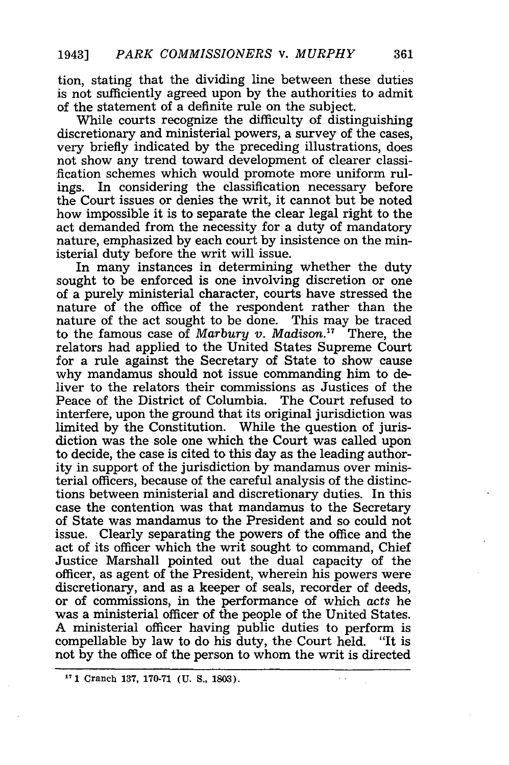tion, stating that the dividing line between these duties is not sufficiently agreed upon by the authorities to admit of the statement of a definite rule on the subject.

While courts recognize the difficulty of distinguishing discretionary and ministerial powers, a survey of the cases, very briefly indicated by the preceding illustrations, does not show any trend toward development of clearer classification schemes which would promote more uniform rulings. In considering the classification necessary before the Court issues or denies the writ, it cannot but be noted how impossible it is to separate the clear legal right to the act demanded from the necessity for a duty of mandatory nature, emphasized by each court by insistence on the ministerial duty before the writ will issue.

In many instances in determining whether the duty sought to be enforced is one involving discretion or one of a purely ministerial character, courts have stressed the nature of the office of the respondent rather than the nature of the act sought to be done. This may be traced to the famous case of *Marbury v. Madison*.<sup>17</sup> There, the relators had applied to the United States Supreme Court for a rule against the Secretary of State to show cause why mandamus should not issue commanding him to deliver to the relators their commissions as Justices of the Peace of the District of Columbia. The Court refused to interfere, upon the ground that its original jurisdiction was limited by the Constitution. While the question of jurisdiction was the sole one which the Court was called upon to decide, the case is cited to this day as the leading authority in support of the jurisdiction by mandamus over ministerial officers, because of the careful analysis of the distinctions between ministerial and discretionary duties. In this case the contention was that mandamus to the Secretary of State was mandamus to the President and so could not issue. Clearly separating the powers of the office and the act of its officer which the writ sought to command, Chief Justice Marshall pointed out the dual capacity of the officer, as agent of the President, wherein his powers were discretionary, and as a keeper of seals, recorder of deeds, or of commissions, in the performance of which acts he was a ministerial officer of the people of the United States. A ministerial officer having public duties to perform is compellable by law to do his duty, the Court held. "It is not by the office of the person to whom the writ is directed

**<sup>17</sup> 1** Cranch 137, 170-71 **(U.** S., 1803).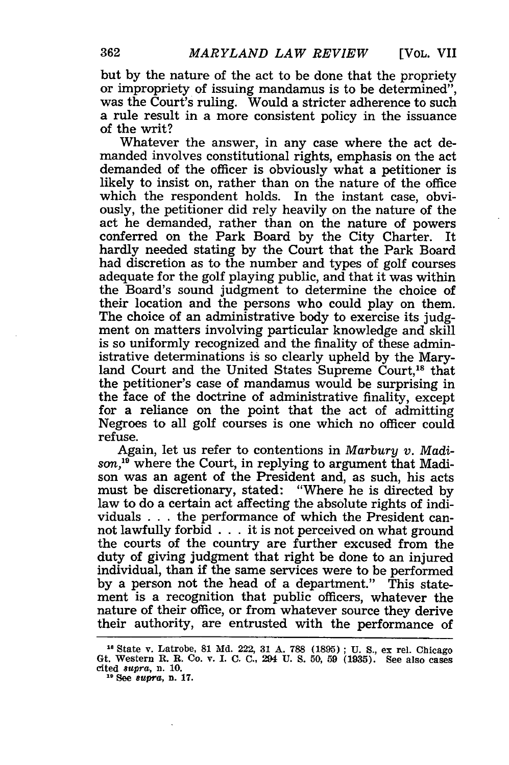362

**[VOL. VII**

but by the nature of the act to be done that the propriety or impropriety of issuing mandamus is to be determined", was the Court's ruling. Would a stricter adherence to such a rule result in a more consistent policy in the issuance of the writ?

Whatever the answer, in any case where the act demanded involves constitutional rights, emphasis on the act demanded of the officer is obviously what a petitioner is likely to insist on, rather than on the nature of the office which the respondent holds. In the instant case, obviously, the petitioner did rely heavily on the nature of the act he demanded, rather than on the nature of powers conferred on the Park Board by the City Charter. It hardly needed stating by the Court that the Park Board had discretion as to the number and types of golf courses adequate for the golf playing public, and that it was within the Board's sound judgment to determine the choice of their location and the persons who could play on them. The choice of an administrative body to exercise its judgment on matters involving particular knowledge and skill is so uniformly recognized and the finality of these administrative determinations is so clearly upheld by the Maryland Court and the United States Supreme Court,<sup>18</sup> that the petitioner's case of mandamus would be surprising in the face of the doctrine of administrative finality, except for a reliance on the point that the act of admitting Negroes to all golf courses is one which no officer could refuse.

Again, let us refer to contentions in *Marbury v. Madison,19* where the Court, in replying to argument that Madison was an agent of the President and, as such, his acts must be discretionary, stated: "Where he is directed by law to do a certain act affecting the absolute rights of individuals . ..the performance of which the President cannot lawfully forbid . . . it is not perceived on what ground the courts of the country are further excused from the duty of giving judgment that right be done to an injured individual, than if the same services were to be performed by a person not the head of a department." This statement is a recognition that public officers, whatever the nature of their office, or from whatever source they derive their authority, are entrusted with the performance of

**II** State v. Latrobe, 81 **Md.** 222, **31 A.** 788 **(1895) ; U. S.,** ex rel. Chicago Gt. Western R. R. Co. v. I. **C.** C., 294 U. **S. 50, 59** (1935). See also cases cited 8upra, **n. 10. <sup>19</sup>**See *supra,* n. **17.**